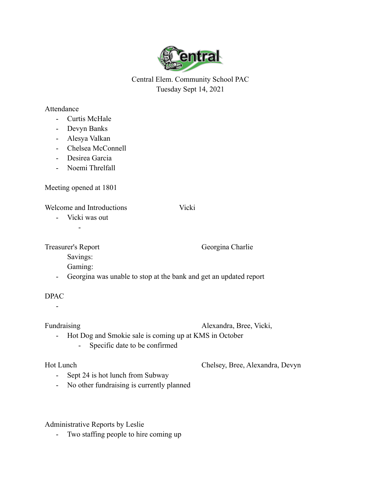

Central Elem. Community School PAC Tuesday Sept 14, 2021

## Attendance

- Curtis McHale
- Devyn Banks
- Alesya Valkan
- Chelsea McConnell
- Desirea Garcia
- Noemi Threlfall

Meeting opened at 1801

Welcome and Introductions Vicki

- Vicki was out

-

Treasurer's Report Georgina Charlie

Savings:

Gaming:

- Georgina was unable to stop at the bank and get an updated report

## DPAC

-

Fundraising Alexandra, Bree, Vicki,

- Hot Dog and Smokie sale is coming up at KMS in October
	- Specific date to be confirmed

Hot Lunch Chelsey, Bree, Alexandra, Devyn

- Sept 24 is hot lunch from Subway
- No other fundraising is currently planned

## Administrative Reports by Leslie

- Two staffing people to hire coming up